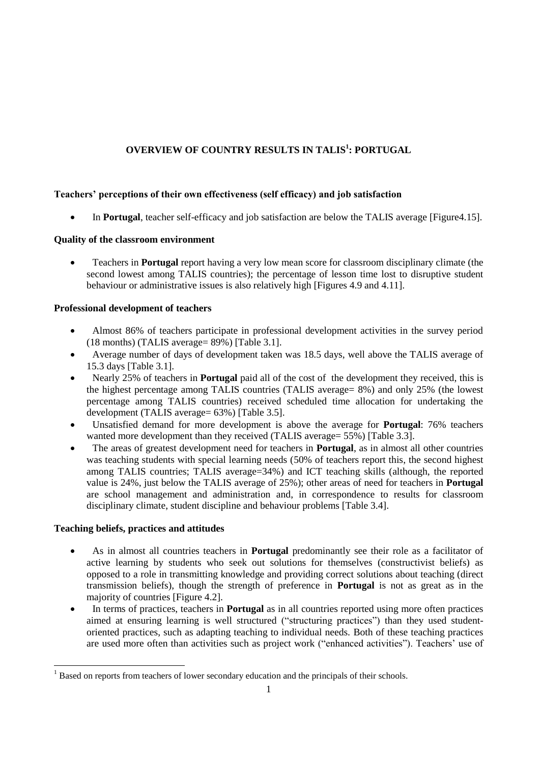# **OVERVIEW OF COUNTRY RESULTS IN TALIS<sup>1</sup> : PORTUGAL**

# **Teachers' perceptions of their own effectiveness (self efficacy) and job satisfaction**

In **Portugal**, teacher self-efficacy and job satisfaction are below the TALIS average [Figure4.15].

## **Quality of the classroom environment**

 Teachers in **Portugal** report having a very low mean score for classroom disciplinary climate (the second lowest among TALIS countries); the percentage of lesson time lost to disruptive student behaviour or administrative issues is also relatively high [Figures 4.9 and 4.11].

## **Professional development of teachers**

- Almost 86% of teachers participate in professional development activities in the survey period (18 months) (TALIS average= 89%) [Table 3.1].
- Average number of days of development taken was 18.5 days, well above the TALIS average of 15.3 days [Table 3.1].
- Nearly 25% of teachers in **Portugal** paid all of the cost of the development they received, this is the highest percentage among TALIS countries (TALIS average= 8%) and only 25% (the lowest percentage among TALIS countries) received scheduled time allocation for undertaking the development (TALIS average= 63%) [Table 3.5].
- Unsatisfied demand for more development is above the average for **Portugal**: 76% teachers wanted more development than they received (TALIS average= 55%) [Table 3.3].
- The areas of greatest development need for teachers in **Portugal**, as in almost all other countries was teaching students with special learning needs (50% of teachers report this, the second highest among TALIS countries; TALIS average=34%) and ICT teaching skills (although, the reported value is 24%, just below the TALIS average of 25%); other areas of need for teachers in **Portugal** are school management and administration and, in correspondence to results for classroom disciplinary climate, student discipline and behaviour problems [Table 3.4].

## **Teaching beliefs, practices and attitudes**

- As in almost all countries teachers in **Portugal** predominantly see their role as a facilitator of active learning by students who seek out solutions for themselves (constructivist beliefs) as opposed to a role in transmitting knowledge and providing correct solutions about teaching (direct transmission beliefs), though the strength of preference in **Portugal** is not as great as in the majority of countries [Figure 4.2].
- In terms of practices, teachers in **Portugal** as in all countries reported using more often practices aimed at ensuring learning is well structured ("structuring practices") than they used studentoriented practices, such as adapting teaching to individual needs. Both of these teaching practices are used more often than activities such as project work ("enhanced activities"). Teachers' use of

<sup>&</sup>lt;sup>1</sup> Based on reports from teachers of lower secondary education and the principals of their schools.